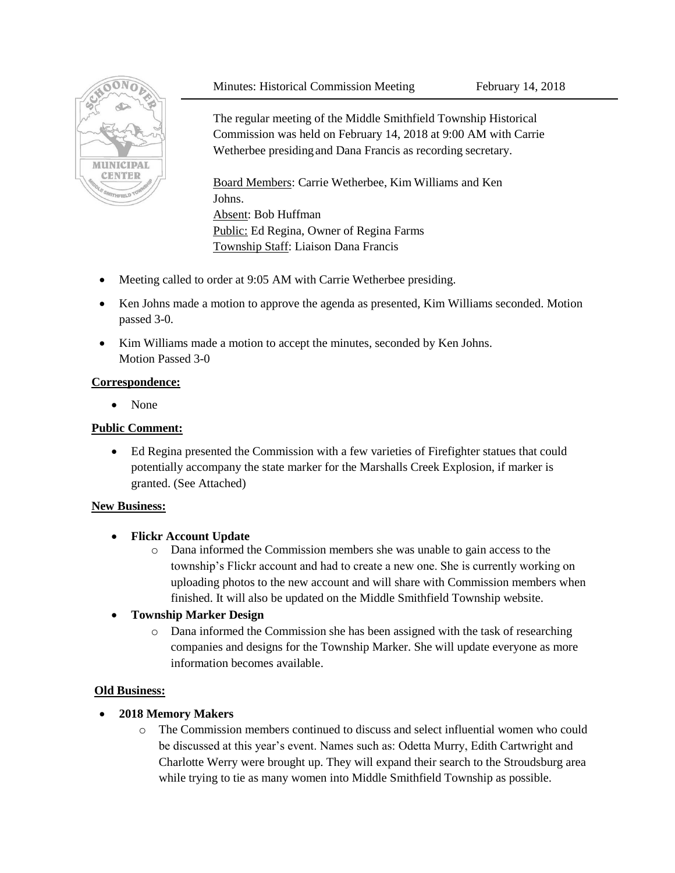### Minutes: Historical Commission Meeting February 14, 2018



The regular meeting of the Middle Smithfield Township Historical Commission was held on February 14, 2018 at 9:00 AM with Carrie Wetherbee presidingand Dana Francis as recording secretary.

Board Members: Carrie Wetherbee, Kim Williams and Ken Johns. Absent: Bob Huffman Public: Ed Regina, Owner of Regina Farms Township Staff: Liaison Dana Francis

- Meeting called to order at 9:05 AM with Carrie Wetherbee presiding.
- Ken Johns made a motion to approve the agenda as presented, Kim Williams seconded. Motion passed 3-0.
- Kim Williams made a motion to accept the minutes, seconded by Ken Johns. Motion Passed 3-0

### **Correspondence:**

• None

### **Public Comment:**

 Ed Regina presented the Commission with a few varieties of Firefighter statues that could potentially accompany the state marker for the Marshalls Creek Explosion, if marker is granted. (See Attached)

#### **New Business:**

# **Flickr Account Update**

o Dana informed the Commission members she was unable to gain access to the township's Flickr account and had to create a new one. She is currently working on uploading photos to the new account and will share with Commission members when finished. It will also be updated on the Middle Smithfield Township website.

# **Township Marker Design**

o Dana informed the Commission she has been assigned with the task of researching companies and designs for the Township Marker. She will update everyone as more information becomes available.

#### **Old Business:**

# **2018 Memory Makers**

o The Commission members continued to discuss and select influential women who could be discussed at this year's event. Names such as: Odetta Murry, Edith Cartwright and Charlotte Werry were brought up. They will expand their search to the Stroudsburg area while trying to tie as many women into Middle Smithfield Township as possible.